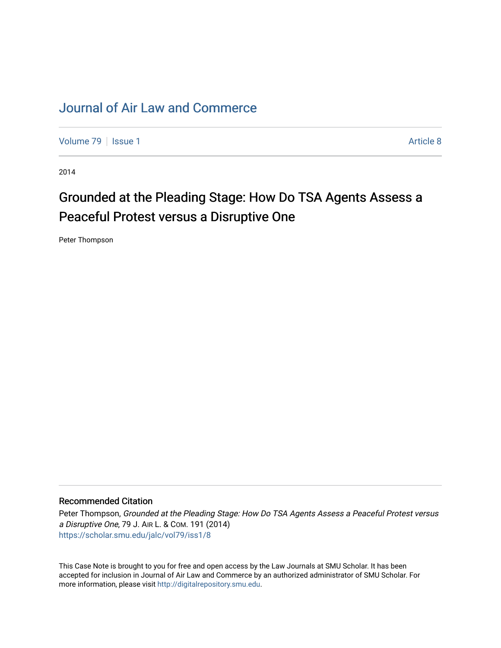# [Journal of Air Law and Commerce](https://scholar.smu.edu/jalc)

[Volume 79](https://scholar.smu.edu/jalc/vol79) | [Issue 1](https://scholar.smu.edu/jalc/vol79/iss1) Article 8

2014

# Grounded at the Pleading Stage: How Do TSA Agents Assess a Peaceful Protest versus a Disruptive One

Peter Thompson

#### Recommended Citation

Peter Thompson, Grounded at the Pleading Stage: How Do TSA Agents Assess a Peaceful Protest versus a Disruptive One, 79 J. AIR L. & COM. 191 (2014) [https://scholar.smu.edu/jalc/vol79/iss1/8](https://scholar.smu.edu/jalc/vol79/iss1/8?utm_source=scholar.smu.edu%2Fjalc%2Fvol79%2Fiss1%2F8&utm_medium=PDF&utm_campaign=PDFCoverPages) 

This Case Note is brought to you for free and open access by the Law Journals at SMU Scholar. It has been accepted for inclusion in Journal of Air Law and Commerce by an authorized administrator of SMU Scholar. For more information, please visit [http://digitalrepository.smu.edu](http://digitalrepository.smu.edu/).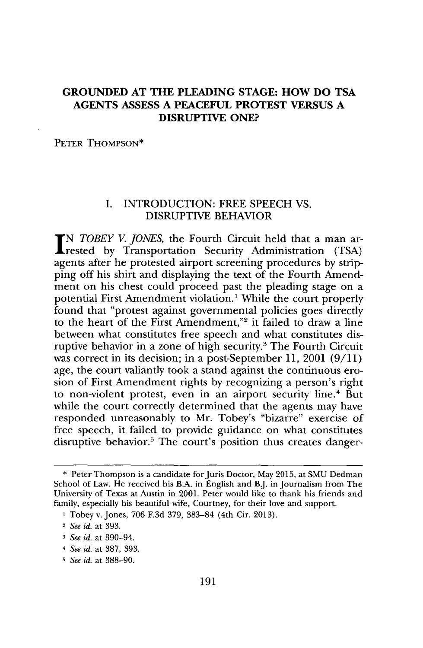## **GROUNDED AT THE PLEADING STAGE: HOW DO TSA AGENTS ASSESS A PEACEFUL PROTEST VERSUS A DISRUPTIVE ONE?**

PETER **THOMPSON\***

#### **I. INTRODUCTION:** FREE **SPEECH VS.** DISRUPTIVE BEHAVIOR

**N** *TOBEY V. JONES*, the Fourth Circuit held that a man arrested **by** Transportation Security Administration **(TSA)** agents after he protested airport screening procedures **by** stripping off his shirt and displaying the text of the Fourth Amendment on his chest could proceed past the pleading stage on a potential First Amendment violation.' While the court properly found that "protest against governmental policies goes directly to the heart of the First Amendment,"<sup>2</sup> it failed to draw a line between what constitutes free speech and what constitutes disruptive behavior in a zone of high security.3 The Fourth Circuit was correct in its decision; in a post-September **11,** 2001 **(9/11)** age, the court valiantly took a stand against the continuous erosion of First Amendment rights **by** recognizing a person's right to non-violent protest, even in an airport security line.<sup>4</sup> But while the court correctly determined that the agents may have responded unreasonably to Mr. Tobey's "bizarre" exercise of free speech, it failed to provide guidance on what constitutes disruptive behavior.<sup>5</sup> The court's position thus creates danger-

**<sup>\*</sup>** Peter Thompson is a candidate forJuris Doctor, May **2015,** at **SMU** Dedman School of Law. He received his B.A. in English and B.J. in Journalism from The University of Texas at Austin in 2001. Peter would like to thank his friends and family, especially his beautiful wife, Courtney, for their love and support.

**I** Tobey v. Jones, **706 F.3d 379, 383-84** (4th Cir. **2013).**

<sup>2</sup>*See id.* at **393.**

*<sup>3</sup> See id.* at 390-94.

*<sup>4</sup> See id.* at **387, 393.**

*<sup>5</sup> See id.* at **388-90.**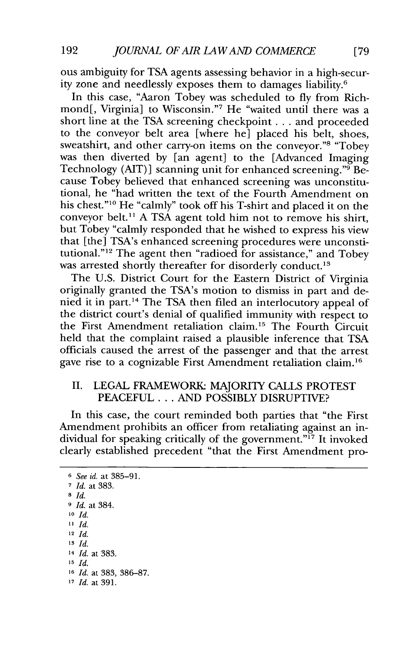ous ambiguity for **TSA** agents assessing behavior in a high-security zone and needlessly exposes them to damages liability.6

In this case, "Aaron Tobey was scheduled to **fly** from Richmond[, Virginia] to Wisconsin."<sup>7</sup> He "waited until there was a short line at the **TSA** screening checkpoint **. ..** and proceeded to the conveyor belt area [where he] placed his belt, shoes, sweatshirt, and other carry-on items on the conveyor."<sup>8</sup> "Tobey" was then diverted **by** [an agent] to the [Advanced Imaging Technology (AIT) **]** scanning unit for enhanced screening."9 Because Tobey believed that enhanced screening was unconstitutional, he "had written the text of the Fourth Amendment on his chest."10 He "calmly" took off his T-shirt and placed it on the conveyor belt." **A TSA** agent told him not to remove his shirt, but Tobey "calmly responded that he wished to express his view that [the] TSA's enhanced screening procedures were unconstitutional."<sup>12</sup> The agent then "radioed for assistance," and Tobey was arrested shortly thereafter for disorderly conduct.<sup>13</sup>

The **U.S.** District Court for the Eastern District of Virginia originally granted the TSA's motion to dismiss in part and denied it in part.14 The **TSA** then filed an interlocutory appeal of the district court's denial of qualified immunity with respect to the First Amendment retaliation claim.<sup>15</sup> The Fourth Circuit held that the complaint raised a plausible inference that **TSA** officials caused the arrest of the passenger and that the arrest gave rise to a cognizable First Amendment retaliation claim.<sup>16</sup>

#### II. LEGAL FRAMEWORK: MAJORITY CALLS PROTEST **PEACEFUL** .. **. AND** POSSIBLY DISRUPTIVE?

In this case, the court reminded both parties that "the First Amendment prohibits an officer from retaliating against an individual for speaking critically of the government." $\tilde{f}$  It invoked clearly established precedent "that the First Amendment pro-

**<sup>6</sup>***See id. at* **385-91. 7** *Id. at* **383. 8** *Id.* **9** *Id. at* 384. **10** *Id.* **11** *Id.* **<sup>12</sup>***Id.* **13** *Id.* **<sup>14</sup>***Id. at* **383. 15** *Id.* **<sup>16</sup>***Id. at* **383, 386-87. 17** *Id. at* **391.**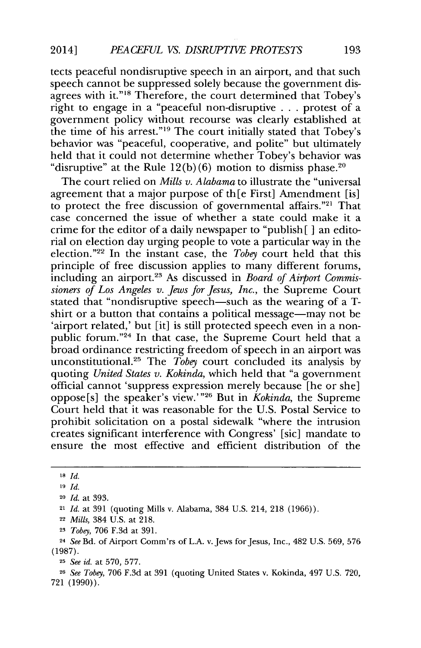tects peaceful nondisruptive speech in an airport, and that such speech cannot be suppressed solely because the government disagrees with it."<sup>18</sup> Therefore, the court determined that Tobey's right to engage in a "peaceful non-disruptive **. . .** protest of a government policy without recourse was clearly established at the time of his arrest."<sup>19</sup> The court initially stated that Tobey's behavior was "peaceful, cooperative, and polite" but ultimately held that it could not determine whether Tobey's behavior was "disruptive" at the Rule  $12(b)(6)$  motion to dismiss phase.<sup>20</sup>

The court relied on *Mills v. Alabama* to illustrate the "universal agreement that a major purpose of th[e First] Amendment [is] to protect the free discussion of governmental affairs."<sup>21</sup> That case concerned the issue of whether a state could make it a crime for the editor of a daily newspaper to "publish [ **]** an editorial on election day urging people to vote a particular way in the election."<sup>22</sup> In the instant case, the *Tobey* court held that this principle of free discussion applies to many different forums, including an airport.23 As discussed in *Board of Airport Commissioners of Los Angeles v. Jews for Jesus, Inc.,* the Supreme Court stated that "nondisruptive speech—such as the wearing of a Tshirt or a button that contains a political message—may not be 'airport related,' but [it] is still protected speech even in a nonpublic forum. **"24** In that case, the Supreme Court held that a broad ordinance restricting freedom of speech in an airport was unconstitutional.25 The *Tobey* court concluded its analysis **by** quoting *United States v. Kokinda,* which held that "a government official cannot 'suppress expression merely because [he or she] oppose[s] the speaker's view.'" 26 But in *Kokinda,* the Supreme Court held that it was reasonable for the **U.S.** Postal Service to prohibit solicitation on a postal sidewalk "where the intrusion creates significant interference with Congress' [sic] mandate to ensure the most effective and efficient distribution of the

**<sup>26</sup>***See Tobey,* **706 F.3d** at **391** (quoting United States v. Kokinda, 497 **U.S. 720, 721 (1990)).**

**<sup>18</sup>** *Id.*

**<sup>19</sup>** *Id.*

**<sup>20</sup>***Id. at* **393.**

**<sup>21</sup>***Id. at* **391** (quoting Mills v. Alabama, 384 **U.S.** 214, **218 (1966)).**

**<sup>22</sup>***Mills,* 384 **U.S.** at **218.**

**<sup>23</sup>***Tobey,* **706 F.3d** at **391.**

**<sup>24</sup>***See* Bd. of Airport Comm'rs of **L.A.** v. Jews for Jesus, Inc., 482 **U.S. 569, 576 (1987).**

**<sup>25</sup>***See id. at* **570, 577.**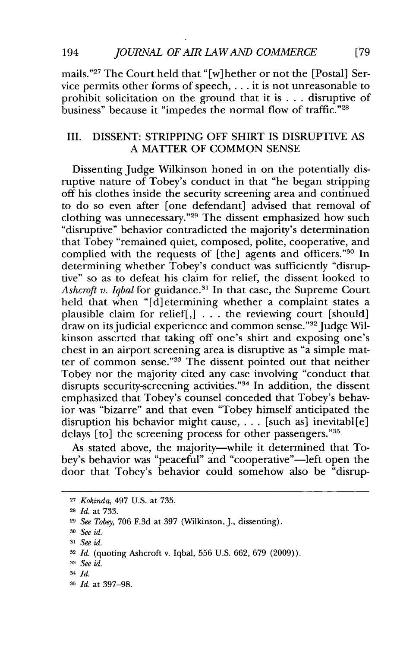mails."<sup>27</sup> The Court held that "[w]hether or not the [Postal] Service permits other forms of speech, **. . .** it is not unreasonable to prohibit solicitation on the ground that it is **.** . **.** disruptive of business" because it "impedes the normal flow of traffic."<sup>28</sup>

#### III. **DISSENT:** STRIPPING OFF SHIRT **IS** DISRUPTIVE **AS A** MATTER OF **COMMON SENSE**

Dissenting Judge Wilkinson honed in on the potentially disruptive nature of Tobey's conduct in that "he began stripping off his clothes inside the security screening area and continued to do so even after [one defendant] advised that removal of clothing was unnecessary."29 The dissent emphasized how such "disruptive" behavior contradicted the majority's determination that Tobey "remained quiet, composed, polite, cooperative, and complied with the requests of  $[the]$  agents and officers."<sup>30</sup> In determining whether Tobey's conduct was sufficiently "disruptive" so as to defeat his claim for relief, the dissent looked to *Ashcroft v. Iqbal* for guidance.<sup>31</sup> In that case, the Supreme Court held that when "[d]etermining whether a complaint states a plausible claim for relief[,] **. . .** the reviewing court [should]  $\alpha$  draw on its judicial experience and common sense." $^{32}$  Judge Wilkinson asserted that taking off one's shirt and exposing one's chest in an airport screening area is disruptive as "a simple matter of common sense."33 The dissent pointed out that neither Tobey nor the majority cited any case involving "conduct that disrupts security-screening activities."<sup>34</sup> In addition, the dissent emphasized that Tobey's counsel conceded that Tobey's behavior was "bizarre" and that even "Tobey himself anticipated the disruption his behavior might cause, **. . .** [such as] inevitabl[e] delays [to] the screening process for other passengers."35

As stated above, the majority-while it determined that Tobey's behavior was "peaceful" and "cooperative"—left open the door that Tobey's behavior could somehow also be "disrup-

**<sup>27</sup>***Kokinda, 497* **U.S.** *at* **735.**

**<sup>28</sup>***Id. at* **733.**

**<sup>29</sup>***See Tobey,* **706 F.3d** at **397** (Wilkinson, **J.,** dissenting).

**<sup>30</sup>***See id.*

**<sup>31</sup>***See id.*

**<sup>32</sup>***Id.* (quoting Ashcroft v. Iqbal, **556 U.S. 662, 679 (2009)).**

**<sup>3</sup>** *See id.*

**<sup>-</sup>** *Id.*

**<sup>35</sup>** *Id. at* **397-98.**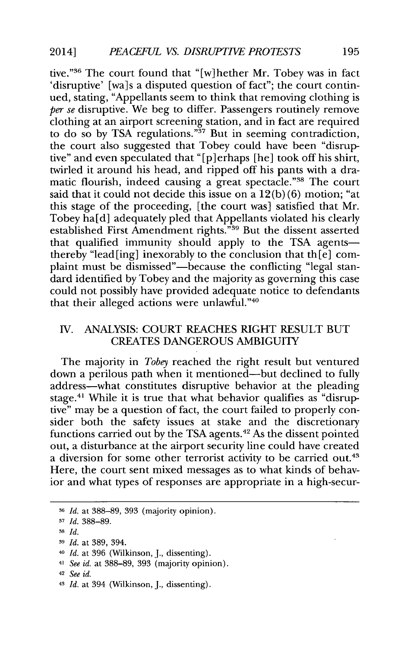tive."<sup>36</sup> The court found that "[w]hether Mr. Tobey was in fact 'disruptive' [wa]s a disputed question of fact"; the court continued, stating, "Appellants seem to think that removing clothing is per se disruptive. We beg to differ. Passengers routinely remove clothing at an airport screening station, and in fact are required to do so by TSA regulations."<sup>37</sup> But in seeming contradiction, the court also suggested that Tobey could have been "disruptive" and even speculated that "[p]erhaps [he] took off his shirt, twirled it around his head, and ripped off his pants with a dramatic flourish, indeed causing a great spectacle."<sup>38</sup> The court said that it could not decide this issue on a **12(b) (6)** motion; "at this stage of the proceeding, [the court was] satisfied that Mr. Tobey ha[d] adequately pled that Appellants violated his clearly established First Amendment rights."<sup>39</sup> But the dissent asserted that qualified immunity should apply to the TSA agentsthereby "lead [ing] inexorably to the conclusion that the  $[e]$  complaint must be dismissed"-because the conflicting "legal standard identified **by** Tobey and the majority as governing this case could not possibly have provided adequate notice to defendants that their alleged actions were unlawful."40

#### IV. ANALYSIS: **COURT REACHES** RIGHT **RESULT BUT CREATES DANGEROUS** AMBIGUITY

The majority in *Tobey* reached the right result but ventured down a perilous path when it mentioned-but declined to fully address-what constitutes disruptive behavior at the pleading stage.<sup>41</sup> While it is true that what behavior qualifies as "disruptive" may be a question of fact, the court failed to properly consider both the safety issues at stake and the discretionary functions carried out by the TSA agents.<sup>42</sup> As the dissent pointed out, a disturbance at the airport security line could have created a diversion for some other terrorist activity to be carried out.<sup>43</sup> Here, the court sent mixed messages as to what kinds of behavior and what types of responses are appropriate in a high-secur-

- **-** *Id. at* **396** (Wilkinson, **J.,** dissenting).
- <sup>41</sup>*See id. at* **388-89, 393** (majority opinion).
- <sup>42</sup>*See id.*
- <sup>4</sup>*Id.* at 394 (Wilkinson, **J.,** dissenting).

**<sup>36</sup>***Id. at* **388-89, 393** (majority opinion).

**<sup>3</sup>***Id.* **388-89.**

**<sup>38</sup>***Id.*

**<sup>3</sup>** *Id.* at **389,** 394.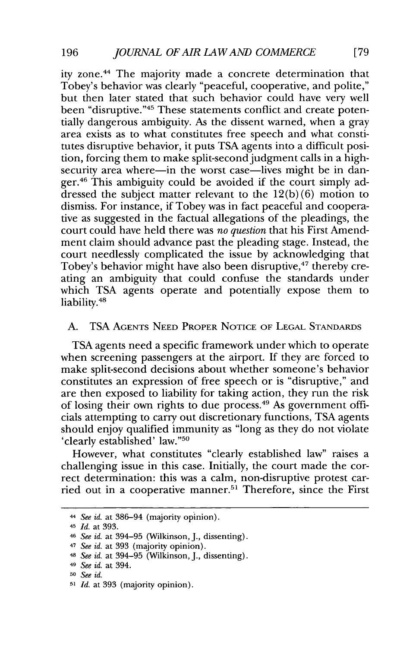ity zone.<sup>44</sup> The majority made a concrete determination that Tobey's behavior was clearly "peaceful, cooperative, and polite," but then later stated that such behavior could have very well been "disruptive."<sup>45</sup> These statements conflict and create potentially dangerous ambiguity. As the dissent warned, when a gray area exists as to what constitutes free speech and what constitutes disruptive behavior, it puts **TSA** agents into a difficult position, forcing them to make split-second judgment calls in a highsecurity area where—in the worst case—lives might be in danger. $46$  This ambiguity could be avoided if the court simply addressed the subject matter relevant to the **12(b) (6)** motion to dismiss. For instance, if Tobey was in fact peaceful and cooperative as suggested in the factual allegations of the pleadings, the court could have held there was *no question* that his First Amendment claim should advance past the pleading stage. Instead, the court needlessly complicated the issue **by** acknowledging that Tobey's behavior might have also been disruptive,<sup>47</sup> thereby creating an ambiguity that could confuse the standards under which **TSA** agents operate and potentially expose them to liability.<sup>48</sup>

#### **A. TSA** AGENTS **NEED** PROPER NOTICE OF **LEGAL STANDARDS**

**TSA** agents need a specific framework under which to operate when screening passengers at the airport. **If** they are forced to make split-second decisions about whether someone's behavior constitutes an expression of free speech or is "disruptive," and are then exposed to liability for taking action, they run the risk of losing their own rights to due process.<sup>49</sup> As government officials attempting to carry out discretionary functions, **TSA** agents should enjoy qualified immunity as "long as they do not violate 'clearly established' law."50

However, what constitutes "clearly established law" raises a challenging issue in this case. Initially, the court made the correct determination: this was a calm, non-disruptive protest carried out in a cooperative manner.<sup>51</sup> Therefore, since the First

**<sup>-</sup>** *See id. at* **386-94** (majority opinion).

<sup>45</sup>*Id. at* **393.**

**<sup>46</sup>***See id. at* **394-95** (Wilkinson, **J.,** dissenting).

<sup>47</sup>*See id. at* **393** (majority opinion).

<sup>4</sup>*See id. at* **394-95** (Wilkinson, **J.,** dissenting).

<sup>49</sup>*See id. at* 394.

**<sup>5</sup>o** *See id.*

**<sup>5&#</sup>x27;** *Id. at* **393** (majority opinion).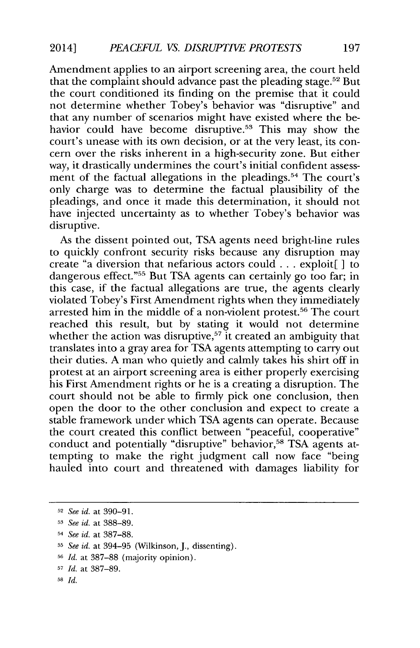Amendment applies to an airport screening area, the court held that the complaint should advance past the pleading stage.<sup>52</sup> But the court conditioned its finding on the premise that it could not determine whether Tobey's behavior was "disruptive" and that any number of scenarios might have existed where the behavior could have become disruptive.<sup>53</sup> This may show the court's unease with its own decision, or at the very least, its concern over the risks inherent in a high-security zone. But either way, it drastically undermines the court's initial confident assessment of the factual allegations in the pleadings.<sup>54</sup> The court's only charge was to determine the factual plausibility of the pleadings, and once it made this determination, it should not have injected uncertainty as to whether Tobey's behavior was disruptive.

As the dissent pointed out, **TSA** agents need bright-line rules to quickly confront security risks because any disruption may create "a diversion that nefarious actors could **.** . **.** exploit[ ] to dangerous effect."<sup>55</sup> But TSA agents can certainly go too far; in this case, if the factual allegations are true, the agents clearly violated Tobey's First Amendment rights when they immediately arrested him in the middle of a non-violent protest.<sup>56</sup> The court reached this result, but **by** stating it would not determine whether the action was disruptive,<sup>57</sup> it created an ambiguity that translates into a gray area for **TSA** agents attempting to carry out their duties. **A** man who quietly and calmly takes his shirt off in protest at an airport screening area is either properly exercising his First Amendment rights or he is a creating a disruption. The court should not be able to firmly pick one conclusion, then open the door to the other conclusion and expect to create a stable framework under which **TSA** agents can operate. Because the court created this conflict between "peaceful, cooperative" conduct and potentially "disruptive" behavior,<sup>58</sup> TSA agents attempting to make the right judgment call now face "being hauled into court and threatened with damages liability for

**<sup>52</sup>***See id. at* **390-91.**

**<sup>53</sup>***See id. at* **388-89.**

<sup>54</sup>*See id. at* **387-88.**

**<sup>55</sup>***See id. at* 394-95 (Wilkinson, **J.,** dissenting).

**<sup>56</sup>***Id. at* **387-88** (majority opinion).

**<sup>57</sup>***Id. at* **387-89.**

**<sup>58</sup>***Id.*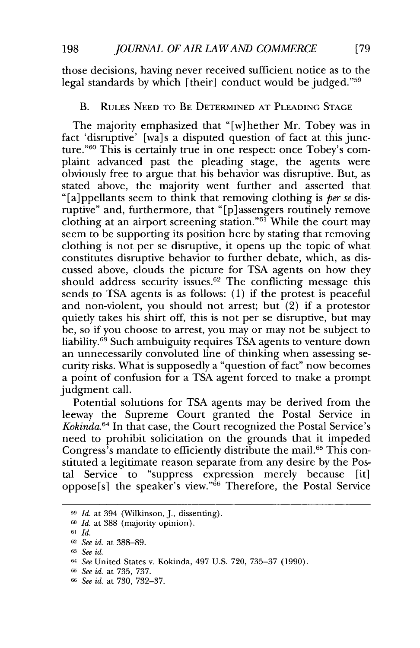those decisions, having never received sufficient notice as to the legal standards by which [their] conduct would be judged."<sup>59</sup>

## B. RULES **NEED** TO BE DETERMINED **AT PLEADING STAGE**

The majority emphasized that "[w]hether Mr. Tobey was in fact 'disruptive' [wa]s a disputed question of fact at this junc**ture."6 <sup>0</sup>**This is certainly true in one respect: once Tobey's complaint advanced past the pleading stage, the agents were obviously free to argue that his behavior was disruptive. But, as stated above, the majority went further and asserted that "[a]ppellants seem to think that removing clothing is *per se* disruptive" and, furthermore, that "[p]assengers routinely remove clothing at an airport screening station." $61$  While the court may seem to be supporting its position here **by** stating that removing clothing is not per se disruptive, it opens up the topic of what constitutes disruptive behavior to further debate, which, as discussed above, clouds the picture for **TSA** agents on how they should address security issues.<sup>62</sup> The conflicting message this sends to TSA agents is as follows: (1) if the protest is peaceful and non-violent, you should not arrest; but (2) if a protestor quietly takes his shirt off, this is not per se disruptive, but may be, so if you choose to arrest, you may or may not be subject to liability.<sup>63</sup> Such ambuiguity requires TSA agents to venture down an unnecessarily convoluted line of thinking when assessing security risks. What is supposedly a "question of fact" now becomes a point of confusion for a **TSA** agent forced to make a prompt judgment call.

Potential solutions for **TSA** agents may be derived from the leeway the Supreme Court granted the Postal Service in *Kokinda.64* In that case, the Court recognized the Postal Service's need to prohibit solicitation on the grounds that it impeded Congress's mandate to efficiently distribute the mail.<sup>65</sup> This constituted a legitimate reason separate from any desire **by** the Postal Service to "suppress expression merely because [it] oppose[s] the speaker's view. **"66** Therefore, the Postal Service

**<sup>51</sup>** *Id. at* 394 (Wilkinson, **J.,** dissenting).

**<sup>60</sup>***Id. at* **388** (majority opinion).

**<sup>61</sup>** *Id.*

**<sup>62</sup>***See id. at* **388-89.**

**<sup>63</sup>***See id.*

<sup>64</sup>*See* United States v. Kokinda, 497 **U.S. 720, 735-37 (1990).**

**<sup>65</sup>***See id. at* **735, 737.**

**<sup>66</sup>** *See id.* at **730, 732-37.**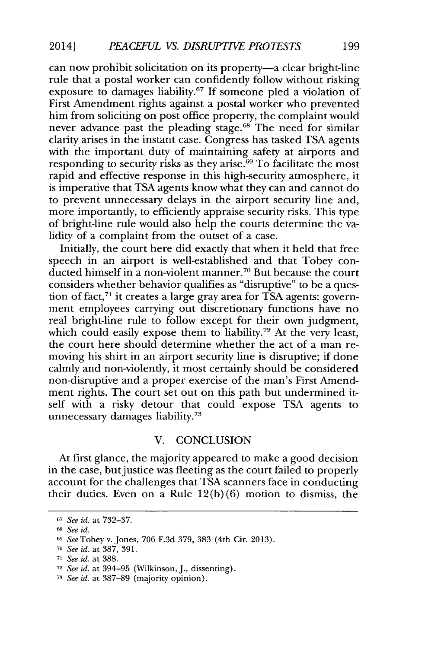can now prohibit solicitation on its property-a clear bright-line rule that a postal worker can confidently follow without risking exposure to damages liability.67 **If** someone pled a violation of First Amendment rights against a postal worker who prevented him from soliciting on post office property, the complaint would never advance past the pleading stage.<sup>68</sup> The need for similar clarity arises in the instant case. Congress has tasked **TSA** agents with the important duty of maintaining safety at airports and responding to security risks as they arise.<sup>69</sup> To facilitate the most rapid and effective response in this high-security atmosphere, it is imperative that **TSA** agents know what they can and cannot do to prevent unnecessary delays in the airport security line and, more importantly, to efficiently appraise security risks. This type of bright-line rule would also help the courts determine the validity of a complaint from the outset of a case.

Initially, the court here did exactly that when it held that free speech in an airport is well-established and that Tobey conducted himself in a non-violent manner.<sup>70</sup> But because the court considers whether behavior qualifies as "disruptive" to be a question of fact,<sup>71</sup> it creates a large gray area for TSA agents: government employees carrying out discretionary functions have no real bright-line rule to follow except for their own judgment, which could easily expose them to liability.<sup>72</sup> At the very least, the court here should determine whether the act of a man removing his shirt in an airport security line is disruptive; if done calmly and non-violently, it most certainly should be considered non-disruptive and a proper exercise of the man's First Amendment rights. The court set out on this path but undermined itself with a risky detour that could expose **TSA** agents to unnecessary damages liability.73

#### V. **CONCLUSION**

At first glance, the majority appeared to make a good decision in the case, but justice was fleeting as the court failed to properly account for the challenges that **TSA** scanners face in conducting their duties. Even on a Rule **12(b) (6)** motion to dismiss, the

**<sup>67</sup>***See id. at* **732-37.**

**<sup>68</sup>***See id.*

<sup>69</sup>*See* Tobey v. Jones, **706 F.3d 379, 383** (4th Cir. **2013).**

**<sup>7</sup>o** *See id.* at **387, 391.**

**<sup>71</sup>***See id. at* **388.**

**<sup>72</sup>***See id. at* **394-95** (Wilkinson, **J.,** dissenting).

**<sup>7</sup>** *See id.* at **387-89** (majority opinion).